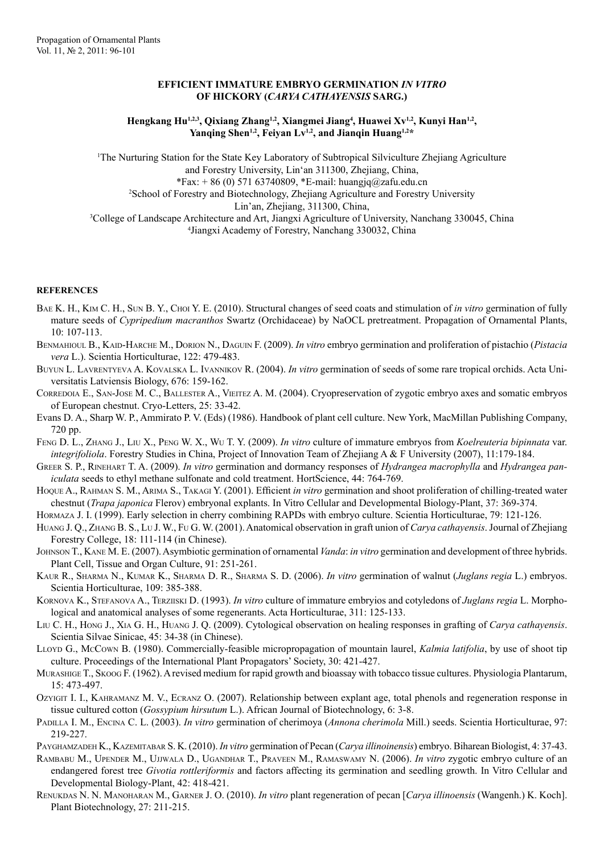## **EFFICIENT IMMATURE EMBRYO GERMINATION** *IN VITRO* **OF HICKORY (***CARYA CATHAYENSIS* **SARG.)**

Hengkang Hu<sup>1,2,3</sup>, Qixiang Zhang<sup>1,2</sup>, Xiangmei Jiang<sup>4</sup>, Huawei Xv<sup>1,2</sup>, Kunyi Han<sup>1,2</sup>, Yanqing Shen<sup>1,2</sup>, Feiyan Lv<sup>1,2</sup>, and Jianqin Huang<sup>1,2\*</sup>

1 The Nurturing Station for the State Key Laboratory of Subtropical Silviculture Zhejiang Agriculture and Forestry University, Lin'an 311300, Zhejiang, China, \*Fax: + 86 (0) 571 63740809, \*E-mail: huangjq@zafu.edu.cn 2 School of Forestry and Biotechnology, Zhejiang Agriculture and Forestry University Lin'an, Zhejiang, 311300, China, 3 College of Landscape Architecture and Art, Jiangxi Agriculture of University, Nanchang 330045, China 4 Jiangxi Academy of Forestry, Nanchang 330032, China

## **REFERENCES**

- Bae K. H., Kim C. H., Sun B. Y., Choi Y. E. (2010). Structural changes of seed coats and stimulation of *in vitro* germination of fully mature seeds of *Cypripedium macranthos* Swartz (Orchidaceae) by NaOCL pretreatment. Propagation of Ornamental Plants, 10: 107-113.
- Benmahioul B., Kaid-Harche M., Dorion N., Daguin F. (2009). *In vitro* embryo germination and proliferation of pistachio (*Pistacia vera* L.). Scientia Horticulturae, 122: 479-483.
- Buyun L. Lavrentyeva A. Kovalska L. Ivannikov R. (2004). *In vitro* germination of seeds of some rare tropical orchids. Acta Universitatis Latviensis Biology, 676: 159-162.
- Corredoia E., San-Jose M. C., Ballester A., Vieitez A. M. (2004). Cryopreservation of zygotic embryo axes and somatic embryos of European chestnut. Cryo-Letters, 25: 33-42.
- Evans D. A., Sharp W. P., Ammirato P. V. (Eds) (1986). Handbook of plant cell culture. New York, MacMillan Publishing Company, 720 pp.
- Feng D. L., Zhang J., Liu X., Peng W. X., Wu T. Y. (2009). *In vitro* culture of immature embryos from *Koelreuteria bipinnata* var. *integrifoliola*. Forestry Studies in China, Project of Innovation Team of Zhejiang A & F University (2007), 11:179-184.
- Greer S. P., Rinehart T. A. (2009). *In vitro* germination and dormancy responses of *Hydrangea macrophylla* and *Hydrangea paniculata* seeds to ethyl methane sulfonate and cold treatment. HortScience, 44: 764-769.
- Hoque A., Rahman S. M., Arima S., Takagi Y. (2001). Efficient *in vitro* germination and shoot proliferation of chilling-treated water chestnut (*Trapa japonica* Flerov) embryonal explants. In Vitro Cellular and Developmental Biology-Plant, 37: 369-374.
- Hormaza J. I. (1999). Early selection in cherry combining RAPDs with embryo culture. Scientia Horticulturae, 79: 121-126.
- Huang J. Q., Zhang B. S., Lu J. W., Fu G. W. (2001). Anatomical observation in graft union of *Carya cathayensis*. Journal of Zhejiang Forestry College, 18: 111-114 (in Chinese).
- Johnson T., Kane M. E. (2007). Asymbiotic germination of ornamental *Vanda*: *in vitro* germination and development of three hybrids. Plant Cell, Tissue and Organ Culture, 91: 251-261.
- Kaur R., Sharma N., Kumar K., Sharma D. R., Sharma S. D. (2006). *In vitro* germination of walnut (*Juglans regia* L.) embryos. Scientia Horticulturae, 109: 385-388.
- Kornova K., Stefanova A., Terziiski D. (1993). *In vitro* culture of immature embryios and cotyledons of *Juglans regia* L. Morphological and anatomical analyses of some regenerants. Acta Horticulturae, 311: 125-133.
- Liu C. H., Hong J., Xia G. H., Huang J. Q. (2009). Cytological observation on healing responses in grafting of *Carya cathayensis*. Scientia Silvae Sinicae, 45: 34-38 (in Chinese).
- Lloyd G., McCown B. (1980). Commercially-feasible micropropagation of mountain laurel, *Kalmia latifolia*, by use of shoot tip culture. Proceedings of the International Plant Propagators' Society, 30: 421-427.
- Murashige T., Skoog F. (1962). A revised medium for rapid growth and bioassay with tobacco tissue cultures. Physiologia Plantarum, 15: 473-497.
- Ozyigit I. I., Kahramanz M. V., Ecranz O. (2007). Relationship between explant age, total phenols and regeneration response in tissue cultured cotton (*Gossypium hirsutum* L.). African Journal of Biotechnology, 6: 3-8.
- Padilla I. M., Encina C. L. (2003). *In vitro* germination of cherimoya (*Annona cherimola* Mill.) seeds. Scientia Horticulturae, 97: 219-227.
- Payghamzadeh K., Kazemitabar S. K. (2010). *In vitro* germination of Pecan (*Carya illinoinensis*) embryo. Biharean Biologist, 4: 37-43.
- Rambabu M., Upender M., Ujjwala D., Ugandhar T., Praveen M., Ramaswamy N. (2006). *In vitro* zygotic embryo culture of an endangered forest tree *Givotia rottleriformis* and factors affecting its germination and seedling growth. In Vitro Cellular and Developmental Biology-Plant, 42: 418-421.
- Renukdas N. N. Manoharan M., Garner J. O. (2010). *In vitro* plant regeneration of pecan [*Carya illinoensis* (Wangenh.) K. Koch]. Plant Biotechnology, 27: 211-215.